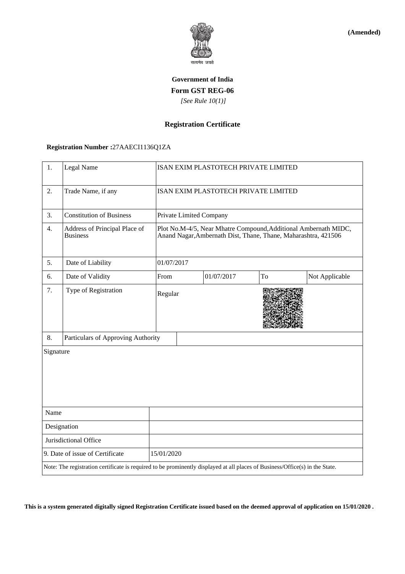

**(Amended)**

## **Government of India Form GST REG-06**  *[See Rule 10(1)]*

### **Registration Certificate**

# **Registration Number :**27AAECI1136Q1ZA

| 1.                                                                                                                           | Legal Name                                       |                                                                                                                                   | ISAN EXIM PLASTOTECH PRIVATE LIMITED |            |    |                |
|------------------------------------------------------------------------------------------------------------------------------|--------------------------------------------------|-----------------------------------------------------------------------------------------------------------------------------------|--------------------------------------|------------|----|----------------|
| 2.                                                                                                                           | Trade Name, if any                               | ISAN EXIM PLASTOTECH PRIVATE LIMITED                                                                                              |                                      |            |    |                |
| 3.                                                                                                                           | <b>Constitution of Business</b>                  | Private Limited Company                                                                                                           |                                      |            |    |                |
| 4.                                                                                                                           | Address of Principal Place of<br><b>Business</b> | Plot No.M-4/5, Near Mhatre Compound, Additional Ambernath MIDC,<br>Anand Nagar, Ambernath Dist, Thane, Thane, Maharashtra, 421506 |                                      |            |    |                |
| 5.                                                                                                                           | Date of Liability                                |                                                                                                                                   | 01/07/2017                           |            |    |                |
| 6.                                                                                                                           | Date of Validity                                 | From                                                                                                                              |                                      | 01/07/2017 | To | Not Applicable |
| 7.                                                                                                                           | Type of Registration                             |                                                                                                                                   | Regular                              |            |    |                |
| 8.                                                                                                                           | Particulars of Approving Authority               |                                                                                                                                   |                                      |            |    |                |
| Signature                                                                                                                    |                                                  |                                                                                                                                   |                                      |            |    |                |
| Name                                                                                                                         |                                                  |                                                                                                                                   |                                      |            |    |                |
| Designation                                                                                                                  |                                                  |                                                                                                                                   |                                      |            |    |                |
| Jurisdictional Office                                                                                                        |                                                  |                                                                                                                                   |                                      |            |    |                |
| 9. Date of issue of Certificate<br>15/01/2020                                                                                |                                                  |                                                                                                                                   |                                      |            |    |                |
| Note: The registration certificate is required to be prominently displayed at all places of Business/Office(s) in the State. |                                                  |                                                                                                                                   |                                      |            |    |                |

**This is a system generated digitally signed Registration Certificate issued based on the deemed approval of application on 15/01/2020 .**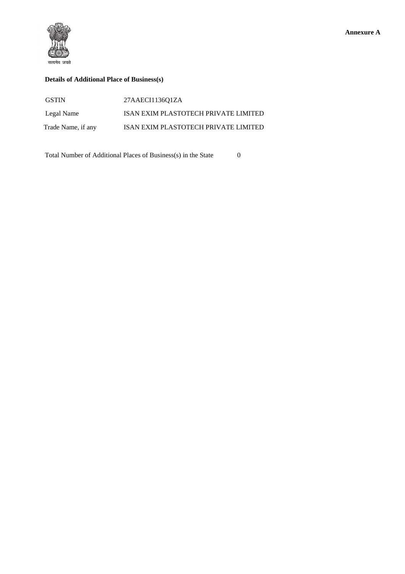

### **Details of Additional Place of Business(s)**

| <b>GSTIN</b>       | 27AAECI1136O1ZA                      |
|--------------------|--------------------------------------|
| Legal Name         | ISAN EXIM PLASTOTECH PRIVATE LIMITED |
| Trade Name, if any | ISAN EXIM PLASTOTECH PRIVATE LIMITED |

Total Number of Additional Places of Business(s) in the State 0